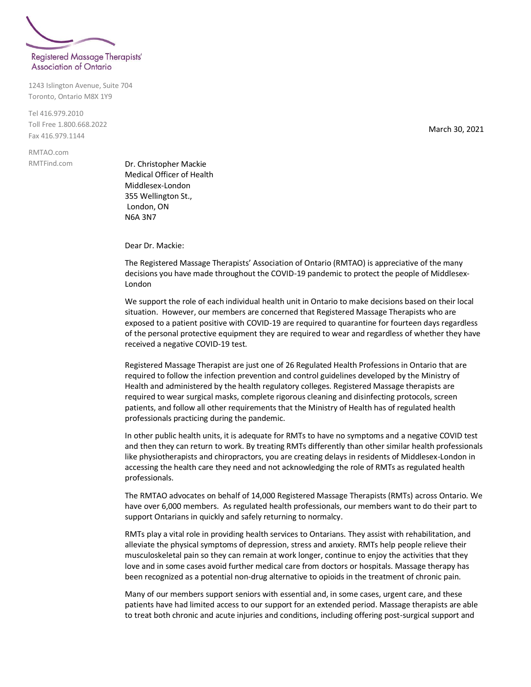

1243 Islington Avenue, Suite 704 Toronto, Ontario M8X 1Y9

Tel 416.979.2010 Toll Free 1.800.668.2022 Fax 416.979.1144

RMTAO.com RMTFind.com

Dr. Christopher Mackie Medical Officer of Health Middlesex-London 355 Wellington St., London, ON N6A 3N7

Dear Dr. Mackie:

The Registered Massage Therapists' Association of Ontario (RMTAO) is appreciative of the many decisions you have made throughout the COVID-19 pandemic to protect the people of Middlesex-London

We support the role of each individual health unit in Ontario to make decisions based on their local situation. However, our members are concerned that Registered Massage Therapists who are exposed to a patient positive with COVID-19 are required to quarantine for fourteen days regardless of the personal protective equipment they are required to wear and regardless of whether they have received a negative COVID-19 test.

Registered Massage Therapist are just one of 26 Regulated Health Professions in Ontario that are required to follow the infection prevention and control guidelines developed by the Ministry of Health and administered by the health regulatory colleges. Registered Massage therapists are required to wear surgical masks, complete rigorous cleaning and disinfecting protocols, screen patients, and follow all other requirements that the Ministry of Health has of regulated health professionals practicing during the pandemic.

In other public health units, it is adequate for RMTs to have no symptoms and a negative COVID test and then they can return to work. By treating RMTs differently than other similar health professionals like physiotherapists and chiropractors, you are creating delays in residents of Middlesex-London in accessing the health care they need and not acknowledging the role of RMTs as regulated health professionals.

The RMTAO advocates on behalf of 14,000 Registered Massage Therapists (RMTs) across Ontario. We have over 6,000 members. As regulated health professionals, our members want to do their part to support Ontarians in quickly and safely returning to normalcy.

RMTs play a vital role in providing health services to Ontarians. They assist with rehabilitation, and alleviate the physical symptoms of depression, stress and anxiety. RMTs help people relieve their musculoskeletal pain so they can remain at work longer, continue to enjoy the activities that they love and in some cases avoid further medical care from doctors or hospitals. Massage therapy has been recognized as a potential non-drug alternative to opioids in the treatment of chronic pain.

Many of our members support seniors with essential and, in some cases, urgent care, and these patients have had limited access to our support for an extended period. Massage therapists are able to treat both chronic and acute injuries and conditions, including offering post-surgical support and

March 30, 2021